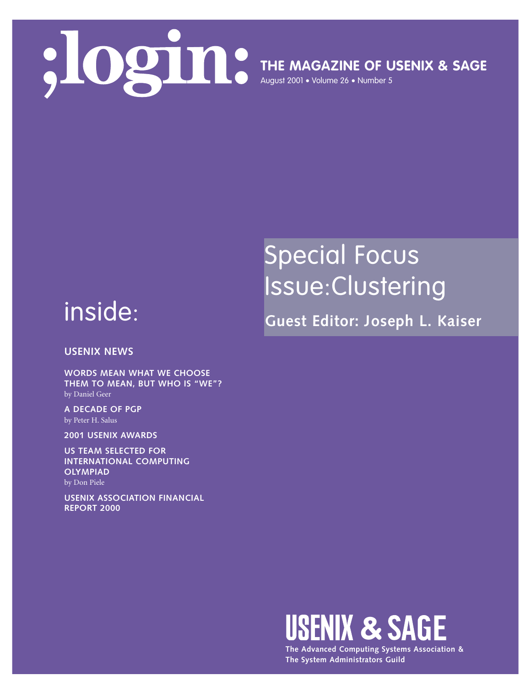

**THE MAGAZINE OF USENIX & SAGE**

August 2001 • Volume 26 • Number 5

## Special Focus Issue:Clustering

inside:

**Guest Editor: Joseph L. Kaiser**

**USENIX NEWS**

**WORDS MEAN WHAT WE CHOOSE THEM TO MEAN, BUT WHO IS "WE"?** by Daniel Geer

**A DECADE OF PGP** by Peter H. Salus

**2001 USENIX AWARDS**

**US TEAM SELECTED FOR INTERNATIONAL COMPUTING OLYMPIAD** by Don Piele

**USENIX ASSOCIATION FINANCIAL REPORT 2000**



**The Advanced Computing Systems Association & The System Administrators Guild**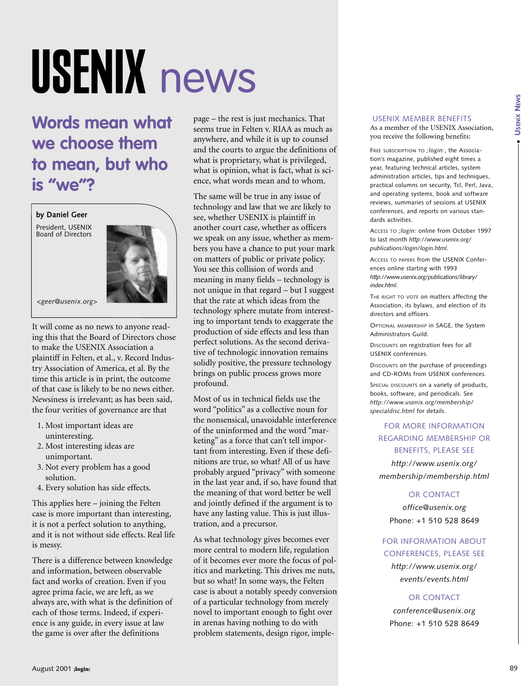# USENIX news

**Words mean what we choose them to mean, but who is "we"?**

**by Daniel Geer** President, USENIX Board of Directors



*<geer@usenix.org>*

It will come as no news to anyone reading this that the Board of Directors chose to make the USENIX Association a plaintiff in Felten, et al., v. Record Industry Association of America, et al. By the time this article is in print, the outcome of that case is likely to be no news either. Newsiness is irrelevant; as has been said, the four verities of governance are that

- 1. Most important ideas are uninteresting.
- 2. Most interesting ideas are unimportant.
- 3. Not every problem has a good solution.
- 4. Every solution has side effects.

This applies here – joining the Felten case is more important than interesting, it is not a perfect solution to anything, and it is not without side effects. Real life is messy.

There is a difference between knowledge and information, between observable fact and works of creation. Even if you agree prima facie, we are left, as we always are, with what is the definition of each of those terms. Indeed, if experience is any guide, in every issue at law the game is over after the definitions

page – the rest is just mechanics. That seems true in Felten v. RIAA as much as anywhere, and while it is up to counsel and the courts to argue the definitions of what is proprietary, what is privileged, what is opinion, what is fact, what is science, what words mean and to whom.

We choose them the similar of the main contradict the similar state of the similar state of the similar state of the similar state of the similar state of the similar state of the similar state of the similar state of the The same will be true in any issue of technology and law that we are likely to see, whether USENIX is plaintiff in another court case, whether as officers we speak on any issue, whether as members you have a chance to put your mark on matters of public or private policy. You see this collision of words and meaning in many fields – technology is not unique in that regard – but I suggest that the rate at which ideas from the technology sphere mutate from interesting to important tends to exaggerate the production of side effects and less than perfect solutions. As the second derivative of technologic innovation remains solidly positive, the pressure technology brings on public process grows more profound.

Most of us in technical fields use the word "politics" as a collective noun for the nonsensical, unavoidable interference of the uninformed and the word "marketing" as a force that can't tell important from interesting. Even if these definitions are true, so what? All of us have probably argued "privacy" with someone in the last year and, if so, have found that the meaning of that word better be well and jointly defined if the argument is to have any lasting value. This is just illustration, and a precursor.

As what technology gives becomes ever more central to modern life, regulation of it becomes ever more the focus of politics and marketing. This drives me nuts, but so what? In some ways, the Felten case is about a notably speedy conversion of a particular technology from merely novel to important enough to fight over in arenas having nothing to do with problem statements, design rigor, imple-

#### USENIX MEMBER BENEFITS

As a member of the USENIX Association, you receive the following benefits:

FREE SUBSCRIPTION TO *;login:*, the Association's magazine, published eight times a year, featuring technical articles, system administration articles, tips and techniques, practical columns on security, Tcl, Perl, Java, and operating systems, book and software reviews, summaries of sessions at USENIX conferences, and reports on various standards activities.

ACCESS TO *;login:* online from October 1997 to last month *http://www.usenix.org/ publications/login/login.html.*

ACCESS TO PAPERS from the USENIX Conferences online starting with 1993 *http://www.usenix.org/publications/library/ index.html*.

THE RIGHT TO VOTE on matters affecting the Association, its bylaws, and election of its directors and officers.

OPTIONAL MEMBERSHIP in SAGE, the System Administrators Guild.

DISCOUNTS on registration fees for all USENIX conferences.

DISCOUNTS on the purchase of proceedings and CD-ROMs from USENIX conferences.

SPECIAL DISCOUNTS on a variety of products, books, software, and periodicals. See *http://www.usenix.org/membership/ specialdisc.html* for details.

#### FOR MORE INFORMATION REGARDING MEMBERSHIP OR BENEFITS, PLEASE SEE

*http://www.usenix.org/ membership/membership.html*

#### OR CONTACT

*office@usenix.org* Phone: +1 510 528 8649

#### FOR INFORMATION ABOUT CONFERENCES, PLEASE SEE

*http://www.usenix.org/ events/events.html*

#### OR CONTACT

*conference@usenix.org* Phone: +1 510 528 8649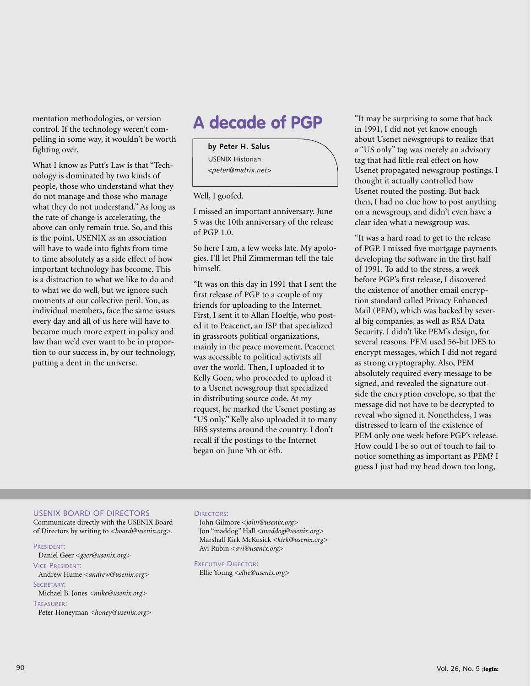mentation methodologies, or version control. If the technology weren't compelling in some way, it wouldn't be worth fighting over.

What I know as Putt's Law is that "Technology is dominated by two kinds of people, those who understand what they do not manage and those who manage what they do not understand." As long as the rate of change is accelerating, the above can only remain true. So, and this is the point, USENIX as an association will have to wade into fights from time to time absolutely as a side effect of how important technology has become. This is a distraction to what we like to do and to what we do well, but we ignore such moments at our collective peril. You, as individual members, face the same issues every day and all of us here will have to become much more expert in policy and law than we'd ever want to be in proportion to our success in, by our technology, putting a dent in the universe.

### **A decade of PGP**

**by Peter H. Salus** USENIX Historian *<peter@matrix.net>*

Well, I goofed.

I missed an important anniversary. June 5 was the 10th anniversary of the release of PGP 1.0.

So here I am, a few weeks late. My apologies. I'll let Phil Zimmerman tell the tale himself.

"It was on this day in 1991 that I sent the first release of PGP to a couple of my friends for uploading to the Internet. First, I sent it to Allan Hoeltje, who posted it to Peacenet, an ISP that specialized in grassroots political organizations, mainly in the peace movement. Peacenet was accessible to political activists all over the world. Then, I uploaded it to Kelly Goen, who proceeded to upload it to a Usenet newsgroup that specialized in distributing source code. At my request, he marked the Usenet posting as "US only." Kelly also uploaded it to many BBS systems around the country. I don't recall if the postings to the Internet began on June 5th or 6th.

"It may be surprising to some that back in 1991, I did not yet know enough about Usenet newsgroups to realize that a "US only" tag was merely an advisory tag that had little real effect on how Usenet propagated newsgroup postings. I thought it actually controlled how Usenet routed the posting. But back then, I had no clue how to post anything on a newsgroup, and didn't even have a clear idea what a newsgroup was.

"It was a hard road to get to the release of PGP. I missed five mortgage payments developing the software in the first half of 1991. To add to the stress, a week before PGP's first release, I discovered the existence of another email encryption standard called Privacy Enhanced Mail (PEM), which was backed by several big companies, as well as RSA Data Security. I didn't like PEM's design, for several reasons. PEM used 56-bit DES to encrypt messages, which I did not regard as strong cryptography. Also, PEM absolutely required every message to be signed, and revealed the signature outside the encryption envelope, so that the message did not have to be decrypted to reveal who signed it. Nonetheless, I was distressed to learn of the existence of PEM only one week before PGP's release. How could I be so out of touch to fail to notice something as important as PEM? I guess I just had my head down too long,

#### USENIX BOARD OF DIRECTORS

Communicate directly with the USENIX Board of Directors by writing to *<board@usenix.org>*.

#### PRESIDENT:

Daniel Geer *<geer@usenix.org>* VICE PRESIDENT:

Andrew Hume *<andrew@usenix.org>*

SECRETARY:

Michael B. Jones *<mike@usenix.org>* TREASURER:

Peter Honeyman *<honey@usenix.org>*

#### DIRECTORS:

John Gilmore *<john@usenix.org>* Jon "maddog" Hall *<maddog@usenix.org>* Marshall Kirk McKusick *<kirk@usenix.org>* Avi Rubin *<avi@usenix.org>*

EXECUTIVE DIRECTOR:

Ellie Young *<ellie@usenix.org>*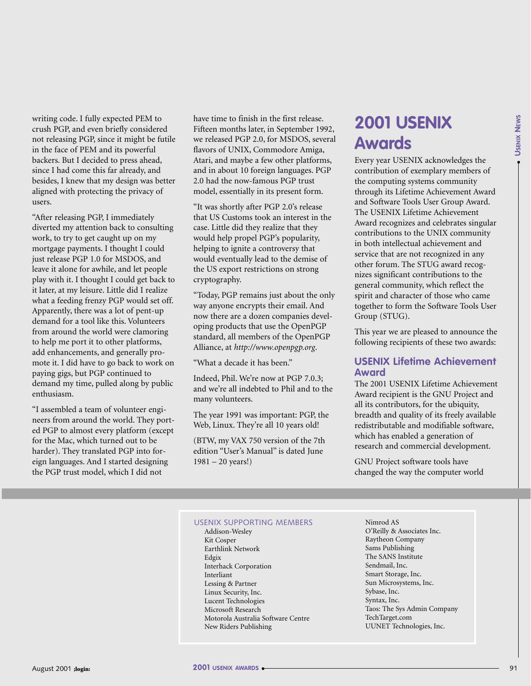●

writing code. I fully expected PEM to crush PGP, and even briefly considered not releasing PGP, since it might be futile in the face of PEM and its powerful backers. But I decided to press ahead, since I had come this far already, and besides, I knew that my design was better aligned with protecting the privacy of users.

"After releasing PGP, I immediately diverted my attention back to consulting work, to try to get caught up on my mortgage payments. I thought I could just release PGP 1.0 for MSDOS, and leave it alone for awhile, and let people play with it. I thought I could get back to it later, at my leisure. Little did I realize what a feeding frenzy PGP would set off. Apparently, there was a lot of pent-up demand for a tool like this. Volunteers from around the world were clamoring to help me port it to other platforms, add enhancements, and generally promote it. I did have to go back to work on paying gigs, but PGP continued to demand my time, pulled along by public enthusiasm.

"I assembled a team of volunteer engineers from around the world. They ported PGP to almost every platform (except for the Mac, which turned out to be harder). They translated PGP into foreign languages. And I started designing the PGP trust model, which I did not

have time to finish in the first release. Fifteen months later, in September 1992, we released PGP 2.0, for MSDOS, several flavors of UNIX, Commodore Amiga, Atari, and maybe a few other platforms, and in about 10 foreign languages. PGP 2.0 had the now-famous PGP trust model, essentially in its present form.

"It was shortly after PGP 2.0's release that US Customs took an interest in the case. Little did they realize that they would help propel PGP's popularity, helping to ignite a controversy that would eventually lead to the demise of the US export restrictions on strong cryptography.

"Today, PGP remains just about the only way anyone encrypts their email. And now there are a dozen companies developing products that use the OpenPGP standard, all members of the OpenPGP Alliance, at *<http://www.openpgp.org>*.

"What a decade it has been."

Indeed, Phil. We're now at PGP 7.0.3; and we're all indebted to Phil and to the many volunteers.

The year 1991 was important: PGP, the Web, Linux. They're all 10 years old!

(BTW, my VAX 750 version of the 7th edition "User's Manual" is dated June 1981 – 20 years!)

## **2001 USENIX Awards**

Every year USENIX acknowledges the contribution of exemplary members of the computing systems community through its Lifetime Achievement Award and Software Tools User Group Award. The USENIX Lifetime Achievement Award recognizes and celebrates singular contributions to the UNIX community in both intellectual achievement and service that are not recognized in any other forum. The STUG award recognizes significant contributions to the general community, which reflect the spirit and character of those who came together to form the Software Tools User Group (STUG).

This year we are pleased to announce the following recipients of these two awards:

#### **USENIX Lifetime Achievement Award**

The 2001 USENIX Lifetime Achievement Award recipient is the GNU Project and all its contributors, for the ubiquity, breadth and quality of its freely available redistributable and modifiable software, which has enabled a generation of research and commercial development.

GNU Project software tools have changed the way the computer world

#### USENIX SUPPORTING MEMBERS

Addison-Wesley Kit Cosper Earthlink Network Edgix Interhack Corporation Interliant Lessing & Partner Linux Security, Inc. Lucent Technologies Microsoft Research Motorola Australia Software Centre New Riders Publishing

Nimrod AS O'Reilly & Associates Inc. Raytheon Company Sams Publishing The SANS Institute Sendmail, Inc. Smart Storage, Inc. Sun Microsystems, Inc. Sybase, Inc. Syntax, Inc. Taos: The Sys Admin Company TechTarget.com UUNET Technologies, Inc.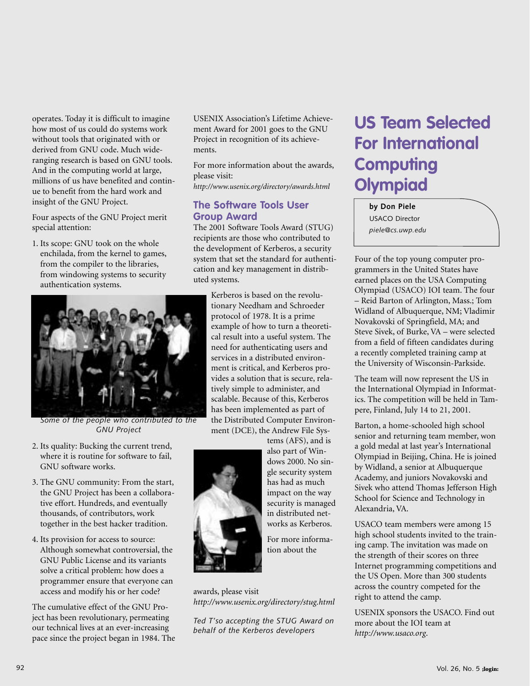operates. Today it is difficult to imagine how most of us could do systems work without tools that originated with or derived from GNU code. Much wideranging research is based on GNU tools. And in the computing world at large, millions of us have benefited and continue to benefit from the hard work and insight of the GNU Project.

Four aspects of the GNU Project merit special attention:

1. Its scope: GNU took on the whole enchilada, from the kernel to games, from the compiler to the libraries, from windowing systems to security authentication systems.



*Some of the people who contributed to the GNU Project*

- 2. Its quality: Bucking the current trend, where it is routine for software to fail, GNU software works.
- 3. The GNU community: From the start, the GNU Project has been a collaborative effort. Hundreds, and eventually thousands, of contributors, work together in the best hacker tradition.
- 4. Its provision for access to source: Although somewhat controversial, the GNU Public License and its variants solve a critical problem: how does a programmer ensure that everyone can access and modify his or her code?

The cumulative effect of the GNU Project has been revolutionary, permeating our technical lives at an ever-increasing pace since the project began in 1984. The USENIX Association's Lifetime Achievement Award for 2001 goes to the GNU Project in recognition of its achievements.

For more information about the awards, please visit:

*<http://www.usenix.org/directory/awards.html>*

#### **The Software Tools User Group Award**

The 2001 Software Tools Award (STUG) recipients are those who contributed to the development of Kerberos, a security system that set the standard for authentication and key management in distributed systems.

> Kerberos is based on the revolutionary Needham and Schroeder protocol of 1978. It is a prime example of how to turn a theoretical result into a useful system. The need for authenticating users and services in a distributed environment is critical, and Kerberos provides a solution that is secure, relatively simple to administer, and scalable. Because of this, Kerberos has been implemented as part of the Distributed Computer Environment (DCE), the Andrew File Sys-

tems (AFS), and is

also part of Windows 2000. No single security system has had as much impact on the way security is managed in distributed networks as Kerberos. For more information about the



awards, please visit *<http://www.usenix.org/directory/stug.html>*

*Ted T'so accepting the STUG Award on behalf of the Kerberos developers*

## **US Team Selected For International Computing Olympiad**

**by Don Piele** USACO Director *piele@cs.uwp.edu*

Four of the top young computer programmers in the United States have earned places on the USA Computing Olympiad (USACO) IOI team. The four – Reid Barton of Arlington, Mass.; Tom Widland of Albuquerque, NM; Vladimir Novakovski of Springfield, MA; and Steve Sivek, of Burke, VA – were selected from a field of fifteen candidates during a recently completed training camp at the University of Wisconsin-Parkside.

The team will now represent the US in the International Olympiad in Informatics. The competition will be held in Tampere, Finland, July 14 to 21, 2001.

Barton, a home-schooled high school senior and returning team member, won a gold medal at last year's International Olympiad in Beijing, China. He is joined by Widland, a senior at Albuquerque Academy, and juniors Novakovski and Sivek who attend Thomas Jefferson High School for Science and Technology in Alexandria, VA.

USACO team members were among 15 high school students invited to the training camp. The invitation was made on the strength of their scores on three Internet programming competitions and the US Open. More than 300 students across the country competed for the right to attend the camp.

USENIX sponsors the USACO. Find out more about the IOI team at *<http://www.usaco.org>*.

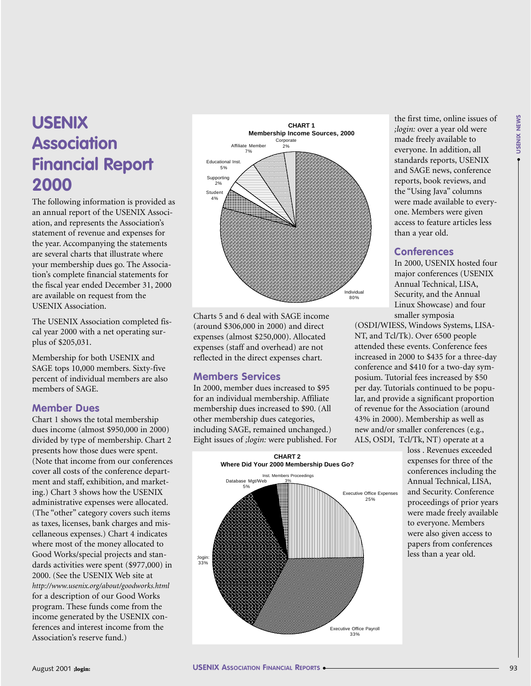## **USENIX Association Financial Report 2000**

The following information is provided as an annual report of the USENIX Association, and represents the Association's statement of revenue and expenses for the year. Accompanying the statements are several charts that illustrate where your membership dues go. The Association's complete financial statements for the fiscal year ended December 31, 2000 are available on request from the USENIX Association.

The USENIX Association completed fiscal year 2000 with a net operating surplus of \$205,031.

Membership for both USENIX and SAGE tops 10,000 members. Sixty-five percent of individual members are also members of SAGE.

#### **Member Dues**

Chart 1 shows the total membership dues income (almost \$950,000 in 2000) divided by type of membership. Chart 2 presents how those dues were spent. (Note that income from our conferences cover all costs of the conference department and staff, exhibition, and marketing.) Chart 3 shows how the USENIX administrative expenses were allocated. (The "other" category covers such items as taxes, licenses, bank charges and miscellaneous expenses.) Chart 4 indicates where most of the money allocated to Good Works/special projects and standards activities were spent (\$977,000) in 2000. (See the USENIX Web site at *<http://www.usenix.org/about/goodworks.html>* for a description of our Good Works program. These funds come from the income generated by the USENIX conferences and interest income from the Association's reserve fund.)



Charts 5 and 6 deal with SAGE income (around \$306,000 in 2000) and direct expenses (almost \$250,000). Allocated expenses (staff and overhead) are not reflected in the direct expenses chart.

#### **Members Services**

In 2000, member dues increased to \$95 for an individual membership. Affiliate membership dues increased to \$90. (All other membership dues categories, including SAGE, remained unchanged.) Eight issues of *;login:* were published. For



the first time, online issues of *;login:* over a year old were made freely available to everyone. In addition, all standards reports, USENIX and SAGE news, conference reports, book reviews, and the "Using Java" columns were made available to everyone. Members were given access to feature articles less than a year old.

#### **Conferences**

In 2000, USENIX hosted four major conferences (USENIX Annual Technical, LISA, Security, and the Annual Linux Showcase) and four smaller symposia

(OSDI/WIESS, Windows Systems, LISA-NT, and Tcl/Tk). Over 6500 people attended these events. Conference fees increased in 2000 to \$435 for a three-day conference and \$410 for a two-day symposium. Tutorial fees increased by \$50 per day. Tutorials continued to be popular, and provide a significant proportion of revenue for the Association (around 43% in 2000). Membership as well as new and/or smaller conferences (e.g., ALS, OSDI, Tcl/Tk, NT) operate at a

loss . Revenues exceeded expenses for three of the conferences including the Annual Technical, LISA, and Security. Conference proceedings of prior years were made freely available to everyone. Members were also given access to papers from conferences less than a year old.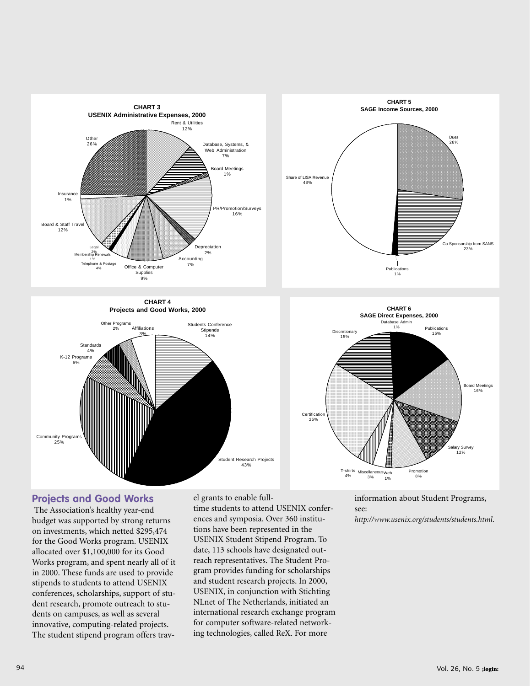

**CHART 4 Projects and Good Works, 2000**





#### **Projects and Good Works**

The Association's healthy year-end budget was supported by strong returns on investments, which netted \$295,474 for the Good Works program. USENIX allocated over \$1,100,000 for its Good Works program, and spent nearly all of it in 2000. These funds are used to provide stipends to students to attend USENIX conferences, scholarships, support of student research, promote outreach to students on campuses, as well as several innovative, computing-related projects. The student stipend program offers travel grants to enable full-

time students to attend USENIX conferences and symposia. Over 360 institutions have been represented in the USENIX Student Stipend Program. To date, 113 schools have designated outreach representatives. The Student Program provides funding for scholarships and student research projects. In 2000, USENIX, in conjunction with Stichting NLnet of The Netherlands, initiated an international research exchange program for computer software-related networking technologies, called ReX. For more

information about Student Programs, see:

*<http://www.usenix.org/students/students.html>*.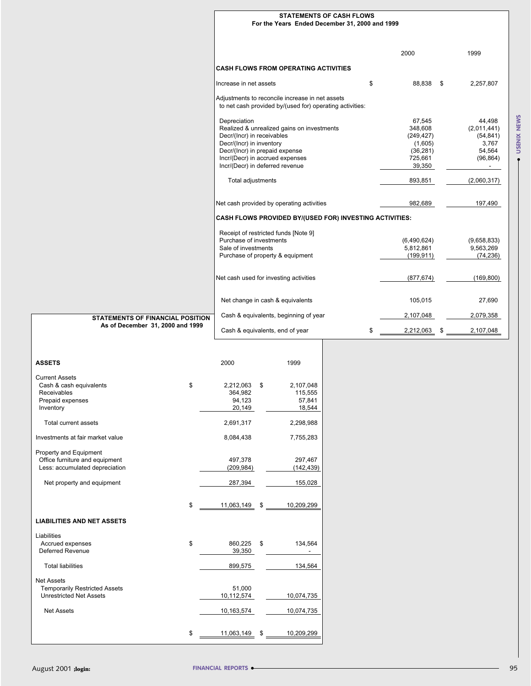|   | <b>STATEMENTS OF CASH FLOWS</b><br>For the Years Ended December 31, 2000 and 1999 |                 |                 |
|---|-----------------------------------------------------------------------------------|-----------------|-----------------|
|   |                                                                                   |                 |                 |
|   |                                                                                   |                 |                 |
|   |                                                                                   | 2000            | 1999            |
|   |                                                                                   |                 |                 |
|   | <b>CASH FLOWS FROM OPERATING ACTIVITIES</b>                                       |                 |                 |
|   | Increase in net assets                                                            | \$<br>88,838    | \$<br>2,257,807 |
|   | Adjustments to reconcile increase in net assets                                   |                 |                 |
|   | to net cash provided by/(used for) operating activities:                          |                 |                 |
|   | Depreciation                                                                      | 67,545          | 44,498          |
|   | Realized & unrealized gains on investments                                        | 348,608         | (2,011,441)     |
|   | Decr/(Incr) in receivables                                                        | (249, 427)      | (54, 841)       |
|   | Decr/(Incr) in inventory                                                          | (1,605)         | 3,767           |
|   | Decr/(Incr) in prepaid expense                                                    | (36, 281)       | 54,564          |
|   | Incr/(Decr) in accrued expenses                                                   | 725,661         | (96, 864)       |
|   | Incr/(Decr) in deferred revenue                                                   | 39,350          |                 |
|   |                                                                                   |                 |                 |
|   | Total adjustments                                                                 | 893,851         | (2,060,317)     |
|   |                                                                                   |                 |                 |
|   | Net cash provided by operating activities                                         | 982.689         | 197,490         |
|   | CASH FLOWS PROVIDED BY/(USED FOR) INVESTING ACTIVITIES:                           |                 |                 |
|   | Receipt of restricted funds [Note 9]                                              |                 |                 |
|   | Purchase of investments                                                           | (6,490,624)     | (9,658,833)     |
|   | Sale of investments                                                               | 5,812,861       | 9,563,269       |
|   | Purchase of property & equipment                                                  | (199, 911)      | (74, 236)       |
|   |                                                                                   |                 |                 |
|   | Net cash used for investing activities                                            | (877, 674)      | (169, 800)      |
|   |                                                                                   |                 |                 |
|   | Net change in cash & equivalents                                                  | 105,015         | 27,690          |
|   | Cash & equivalents, beginning of year                                             | 2,107,048       | 2,079,358       |
| 4 |                                                                                   |                 |                 |
|   | Cash & equivalents, end of year                                                   | \$<br>2,212,063 | \$<br>2,107,048 |

#### **STATEMENTS OF FINANCIAL POSITION As of December 31, 2000 and 1999**

|                                                                                                  | Depreciation<br>Decr/(Incr) in receivables<br>Decr/(Incr) in inventory<br>Decr/(Incr) in prepaid expense<br>Incr/(Decr) in accrued expenses<br>Incr/(Decr) in deferred revenue | Realized & unrealized gains on investments                               | 67,545<br>348,608<br>(249, 427)<br>(1,605)<br>(36, 281)<br>725,661<br>39,350 | 44,498<br>(2,011,441)<br>(54, 841)<br>3,767<br>54,564<br>(96, 864)<br>$\sim$ |             |
|--------------------------------------------------------------------------------------------------|--------------------------------------------------------------------------------------------------------------------------------------------------------------------------------|--------------------------------------------------------------------------|------------------------------------------------------------------------------|------------------------------------------------------------------------------|-------------|
|                                                                                                  | Total adjustments                                                                                                                                                              |                                                                          |                                                                              | 893,851                                                                      | (2,060,317) |
|                                                                                                  |                                                                                                                                                                                | Net cash provided by operating activities                                | 982,689                                                                      | 197,490                                                                      |             |
|                                                                                                  |                                                                                                                                                                                | CASH FLOWS PROVIDED BY/(USED FOR) INVESTING ACTIVITIES:                  |                                                                              |                                                                              |             |
|                                                                                                  | Purchase of investments<br>Sale of investments                                                                                                                                 | Receipt of restricted funds [Note 9]<br>Purchase of property & equipment | (6,490,624)<br>5,812,861<br>(199, 911)                                       | (9,658,833)<br>9,563,269<br>(74, 236)                                        |             |
|                                                                                                  |                                                                                                                                                                                | Net cash used for investing activities                                   | (877, 674)                                                                   | (169, 800)                                                                   |             |
|                                                                                                  |                                                                                                                                                                                | Net change in cash & equivalents                                         |                                                                              | 105,015                                                                      | 27,690      |
| <b>STATEMENTS OF FINANCIAL POSITION</b>                                                          |                                                                                                                                                                                | Cash & equivalents, beginning of year                                    |                                                                              | 2,107,048                                                                    | 2,079,358   |
| As of December 31, 2000 and 1999                                                                 | Cash & equivalents, end of year                                                                                                                                                |                                                                          | \$                                                                           | $2,212,063$ \$                                                               | 2,107,048   |
| <b>ASSETS</b>                                                                                    | 2000                                                                                                                                                                           | 1999                                                                     |                                                                              |                                                                              |             |
| <b>Current Assets</b><br>Cash & cash equivalents<br>Receivables<br>Prepaid expenses<br>Inventory | \$<br>2,212,063<br>\$<br>364,982<br>94,123<br>20,149                                                                                                                           | 2,107,048<br>115,555<br>57,841<br>18,544                                 |                                                                              |                                                                              |             |
| Total current assets                                                                             | 2,691,317                                                                                                                                                                      | 2,298,988                                                                |                                                                              |                                                                              |             |
| Investments at fair market value                                                                 | 8,084,438                                                                                                                                                                      | 7,755,283                                                                |                                                                              |                                                                              |             |
| Property and Equipment<br>Office furniture and equipment<br>Less: accumulated depreciation       | 497,378<br>(209, 984)                                                                                                                                                          | 297,467<br>(142, 439)                                                    |                                                                              |                                                                              |             |
| Net property and equipment                                                                       | 287,394                                                                                                                                                                        | 155,028                                                                  |                                                                              |                                                                              |             |
|                                                                                                  | 11,063,149                                                                                                                                                                     | 10,209,299                                                               |                                                                              |                                                                              |             |
| <b>LIABILITIES AND NET ASSETS</b>                                                                |                                                                                                                                                                                |                                                                          |                                                                              |                                                                              |             |
| Liabilities<br>Accrued expenses<br>Deferred Revenue                                              | \$<br>860,225<br>\$<br>39,350                                                                                                                                                  | 134,564<br>$\mathbf{r}$                                                  |                                                                              |                                                                              |             |
| <b>Total liabilities</b>                                                                         | 899,575                                                                                                                                                                        | 134,564                                                                  |                                                                              |                                                                              |             |
| <b>Net Assets</b><br><b>Temporarily Restricted Assets</b><br><b>Unrestricted Net Assets</b>      | 51,000<br>10,112,574                                                                                                                                                           | 10,074,735                                                               |                                                                              |                                                                              |             |
| <b>Net Assets</b>                                                                                | 10,163,574                                                                                                                                                                     | 10,074,735                                                               |                                                                              |                                                                              |             |
|                                                                                                  | \$<br>11,063,149<br>\$                                                                                                                                                         | 10,209,299                                                               |                                                                              |                                                                              |             |
| August 2001 ;login:                                                                              | <b>FINANCIAL REPORTS .</b>                                                                                                                                                     |                                                                          |                                                                              |                                                                              | 95          |